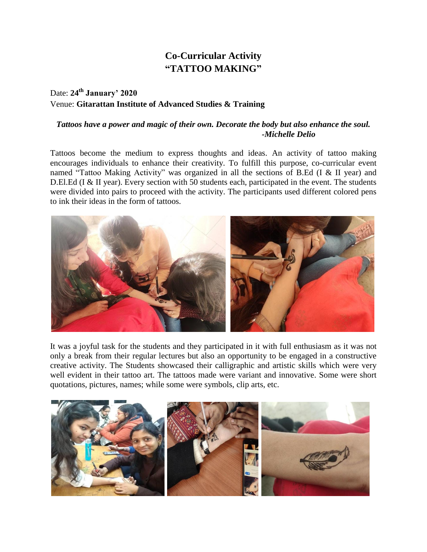## **Co-Curricular Activity "TATTOO MAKING"**

## Date: **24th January' 2020** Venue: **Gitarattan Institute of Advanced Studies & Training**

## *Tattoos have a power and magic of their own. Decorate the body but also enhance the soul. -Michelle Delio*

Tattoos become the medium to express thoughts and ideas. An activity of tattoo making encourages individuals to enhance their creativity. To fulfill this purpose, co-curricular event named "Tattoo Making Activity" was organized in all the sections of B.Ed (I & II year) and D.El.Ed (I & II year). Every section with 50 students each, participated in the event. The students were divided into pairs to proceed with the activity. The participants used different colored pens to ink their ideas in the form of tattoos.



It was a joyful task for the students and they participated in it with full enthusiasm as it was not only a break from their regular lectures but also an opportunity to be engaged in a constructive creative activity. The Students showcased their calligraphic and artistic skills which were very well evident in their tattoo art. The tattoos made were variant and innovative. Some were short quotations, pictures, names; while some were symbols, clip arts, etc.